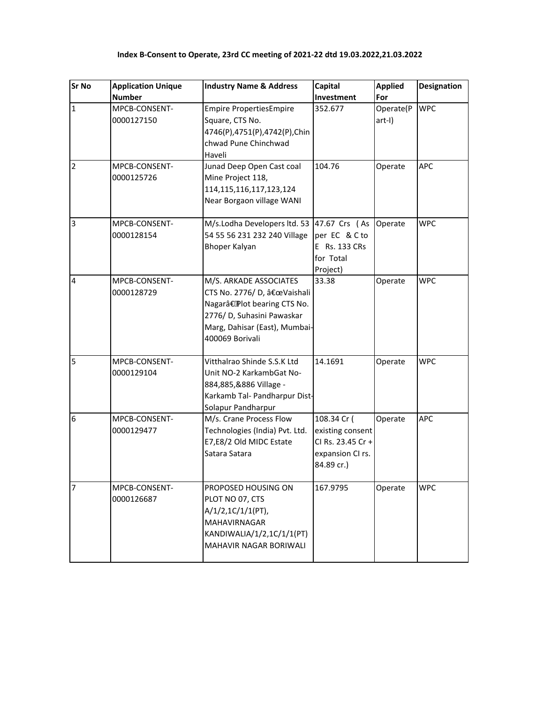| <b>Sr No</b>   | <b>Application Unique</b>   | <b>Industry Name &amp; Address</b>                                                                                                                                                 | Capital                                                                                | <b>Applied</b>      | <b>Designation</b> |
|----------------|-----------------------------|------------------------------------------------------------------------------------------------------------------------------------------------------------------------------------|----------------------------------------------------------------------------------------|---------------------|--------------------|
|                | <b>Number</b>               |                                                                                                                                                                                    | Investment                                                                             | For                 |                    |
| $\mathbf{1}$   | MPCB-CONSENT-<br>0000127150 | <b>Empire PropertiesEmpire</b><br>Square, CTS No.<br>4746(P),4751(P),4742(P),Chin<br>chwad Pune Chinchwad<br>Haveli                                                                | 352.677                                                                                | Operate(P<br>art-I) | <b>WPC</b>         |
| $\overline{2}$ | MPCB-CONSENT-<br>0000125726 | Junad Deep Open Cast coal<br>Mine Project 118,<br>114, 115, 116, 117, 123, 124<br>Near Borgaon village WANI                                                                        | 104.76                                                                                 | Operate             | <b>APC</b>         |
| 3              | MPCB-CONSENT-<br>0000128154 | M/s.Lodha Developers ltd. 53<br>54 55 56 231 232 240 Village<br><b>Bhoper Kalyan</b>                                                                                               | 47.67 Crs (As<br>per EC & C to<br>E Rs. 133 CRs<br>for Total<br>Project)               | Operate             | <b>WPC</b>         |
| 4              | MPCB-CONSENT-<br>0000128729 | M/S. ARKADE ASSOCIATES<br>CTS No. 2776/D, "Vaishali<br>Nagarâ€ <sup>o</sup> Plot bearing CTS No.<br>2776/ D, Suhasini Pawaskar<br>Marg, Dahisar (East), Mumbai-<br>400069 Borivali | 33.38                                                                                  | Operate             | <b>WPC</b>         |
| 5              | MPCB-CONSENT-<br>0000129104 | Vitthalrao Shinde S.S.K Ltd<br>Unit NO-2 KarkambGat No-<br>884,885,&886 Village -<br>Karkamb Tal- Pandharpur Dist-<br>Solapur Pandharpur                                           | 14.1691                                                                                | Operate             | <b>WPC</b>         |
| 6              | MPCB-CONSENT-<br>0000129477 | M/s. Crane Process Flow<br>Technologies (India) Pvt. Ltd.<br>E7,E8/2 Old MIDC Estate<br>Satara Satara                                                                              | 108.34 Cr (<br>existing consent<br>CI Rs. 23.45 Cr +<br>expansion CI rs.<br>84.89 cr.) | Operate             | APC                |
| $\overline{7}$ | MPCB-CONSENT-<br>0000126687 | PROPOSED HOUSING ON<br>PLOT NO 07, CTS<br>$A/1/2, 1C/1/1(PT)$ ,<br>MAHAVIRNAGAR<br>KANDIWALIA/1/2,1C/1/1(PT)<br>MAHAVIR NAGAR BORIWALI                                             | 167.9795                                                                               | Operate             | <b>WPC</b>         |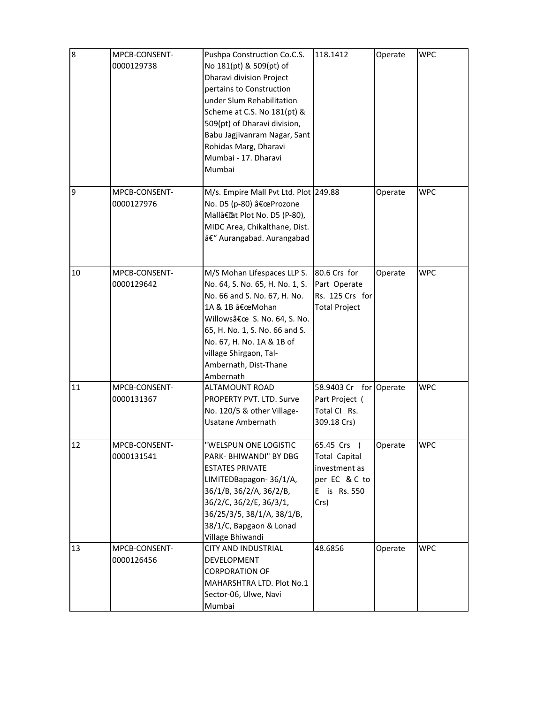| 8  | MPCB-CONSENT-<br>0000129738 | Pushpa Construction Co.C.S.<br>No 181(pt) & 509(pt) of<br>Dharavi division Project<br>pertains to Construction<br>under Slum Rehabilitation<br>Scheme at C.S. No 181(pt) &<br>509(pt) of Dharavi division,<br>Babu Jagjivanram Nagar, Sant<br>Rohidas Marg, Dharavi<br>Mumbai - 17. Dharavi<br>Mumbai | 118.1412                                                                                      | Operate | <b>WPC</b> |
|----|-----------------------------|-------------------------------------------------------------------------------------------------------------------------------------------------------------------------------------------------------------------------------------------------------------------------------------------------------|-----------------------------------------------------------------------------------------------|---------|------------|
| 9  | MPCB-CONSENT-<br>0000127976 | M/s. Empire Mall Pvt Ltd. Plot 249.88<br>No. D5 (p-80) "Prozone<br>Mall†at Plot No. D5 (P-80),<br>MIDC Area, Chikalthane, Dist.<br>– Aurangabad. Aurangabad                                                                                                                                           |                                                                                               | Operate | <b>WPC</b> |
| 10 | MPCB-CONSENT-<br>0000129642 | M/S Mohan Lifespaces LLP S.<br>No. 64, S. No. 65, H. No. 1, S.<br>No. 66 and S. No. 67, H. No.<br>1A & 1B "Mohan<br>Willows" S. No. 64, S. No.<br>65, H. No. 1, S. No. 66 and S.<br>No. 67, H. No. 1A & 1B of<br>village Shirgaon, Tal-<br>Ambernath, Dist-Thane<br>Ambernath                         | 80.6 Crs for<br>Part Operate<br>Rs. 125 Crs for<br><b>Total Project</b>                       | Operate | <b>WPC</b> |
| 11 | MPCB-CONSENT-<br>0000131367 | ALTAMOUNT ROAD<br>PROPERTY PVT. LTD. Surve<br>No. 120/5 & other Village-<br><b>Usatane Ambernath</b>                                                                                                                                                                                                  | 58.9403 Cr for Operate<br>Part Project (<br>Total CI Rs.<br>309.18 Crs)                       |         | <b>WPC</b> |
| 12 | MPCB-CONSENT-<br>0000131541 | "WELSPUN ONE LOGISTIC<br>PARK- BHIWANDI" BY DBG<br><b>ESTATES PRIVATE</b><br>LIMITEDBapagon-36/1/A,<br>36/1/B, 36/2/A, 36/2/B,<br>36/2/C, 36/2/E, 36/3/1,<br>36/25/3/5, 38/1/A, 38/1/B,<br>38/1/C, Bapgaon & Lonad<br>Village Bhiwandi                                                                | 65.45 Crs (<br><b>Total Capital</b><br>investment as<br>per EC & C to<br>E is Rs. 550<br>Crs) | Operate | <b>WPC</b> |
| 13 | MPCB-CONSENT-<br>0000126456 | <b>CITY AND INDUSTRIAL</b><br>DEVELOPMENT<br><b>CORPORATION OF</b><br>MAHARSHTRA LTD. Plot No.1<br>Sector-06, Ulwe, Navi<br>Mumbai                                                                                                                                                                    | 48.6856                                                                                       | Operate | <b>WPC</b> |